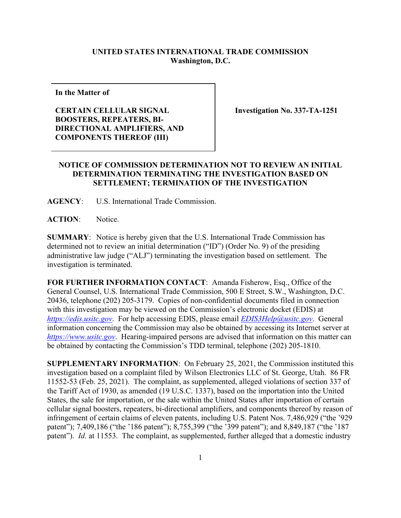## **UNITED STATES INTERNATIONAL TRADE COMMISSION Washington, D.C.**

**In the Matter of**

## **CERTAIN CELLULAR SIGNAL BOOSTERS, REPEATERS, BI-DIRECTIONAL AMPLIFIERS, AND COMPONENTS THEREOF (III)**

**Investigation No. 337-TA-1251**

## **NOTICE OF COMMISSION DETERMINATION NOT TO REVIEW AN INITIAL DETERMINATION TERMINATING THE INVESTIGATION BASED ON SETTLEMENT; TERMINATION OF THE INVESTIGATION**

**AGENCY**: U.S. International Trade Commission.

**ACTION**: Notice.

**SUMMARY**: Notice is hereby given that the U.S. International Trade Commission has determined not to review an initial determination ("ID") (Order No. 9) of the presiding administrative law judge ("ALJ") terminating the investigation based on settlement. The investigation is terminated.

**FOR FURTHER INFORMATION CONTACT**: Amanda Fisherow, Esq., Office of the General Counsel, U.S. International Trade Commission, 500 E Street, S.W., Washington, D.C. 20436, telephone (202) 205-3179. Copies of non-confidential documents filed in connection with this investigation may be viewed on the Commission's electronic docket (EDIS) at *[https://edis.usitc.gov](https://edis.usitc.gov/)*. For help accessing EDIS, please email *[EDIS3Help@usitc.gov](mailto:EDIS3Help@usitc.gov)*. General information concerning the Commission may also be obtained by accessing its Internet server at *[https://www.usitc.gov](https://www.usitc.gov/)*. Hearing-impaired persons are advised that information on this matter can be obtained by contacting the Commission's TDD terminal, telephone (202) 205-1810.

**SUPPLEMENTARY INFORMATION**: On February 25, 2021, the Commission instituted this investigation based on a complaint filed by Wilson Electronics LLC of St. George, Utah. 86 FR 11552-53 (Feb. 25, 2021). The complaint, as supplemented, alleged violations of section 337 of the Tariff Act of 1930, as amended (19 U.S.C. 1337), based on the importation into the United States, the sale for importation, or the sale within the United States after importation of certain cellular signal boosters, repeaters, bi-directional amplifiers, and components thereof by reason of infringement of certain claims of eleven patents, including U.S. Patent Nos. 7,486,929 ("the '929 patent"); 7,409,186 ("the '186 patent"); 8,755,399 ("the '399 patent"); and 8,849,187 ("the '187 patent"). *Id*. at 11553. The complaint, as supplemented, further alleged that a domestic industry